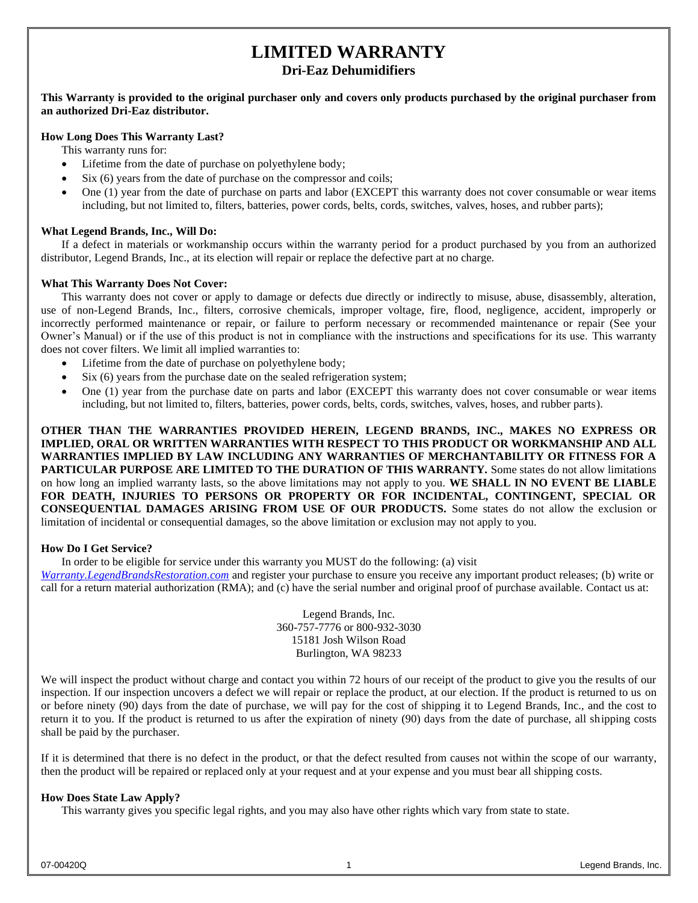## **LIMITED WARRANTY**

#### **Dri-Eaz Dehumidifiers**

#### **This Warranty is provided to the original purchaser only and covers only products purchased by the original purchaser from an authorized Dri-Eaz distributor.**

#### **How Long Does This Warranty Last?**

This warranty runs for:

- Lifetime from the date of purchase on polyethylene body;
- Six (6) years from the date of purchase on the compressor and coils;
- One (1) year from the date of purchase on parts and labor (EXCEPT this warranty does not cover consumable or wear items including, but not limited to, filters, batteries, power cords, belts, cords, switches, valves, hoses, and rubber parts);

#### **What Legend Brands, Inc., Will Do:**

If a defect in materials or workmanship occurs within the warranty period for a product purchased by you from an authorized distributor, Legend Brands, Inc., at its election will repair or replace the defective part at no charge.

#### **What This Warranty Does Not Cover:**

This warranty does not cover or apply to damage or defects due directly or indirectly to misuse, abuse, disassembly, alteration, use of non-Legend Brands, Inc., filters, corrosive chemicals, improper voltage, fire, flood, negligence, accident, improperly or incorrectly performed maintenance or repair, or failure to perform necessary or recommended maintenance or repair (See your Owner's Manual) or if the use of this product is not in compliance with the instructions and specifications for its use. This warranty does not cover filters. We limit all implied warranties to:

- Lifetime from the date of purchase on polyethylene body;
- Six (6) years from the purchase date on the sealed refrigeration system;
- One (1) year from the purchase date on parts and labor (EXCEPT this warranty does not cover consumable or wear items including, but not limited to, filters, batteries, power cords, belts, cords, switches, valves, hoses, and rubber parts).

**OTHER THAN THE WARRANTIES PROVIDED HEREIN, LEGEND BRANDS, INC., MAKES NO EXPRESS OR IMPLIED, ORAL OR WRITTEN WARRANTIES WITH RESPECT TO THIS PRODUCT OR WORKMANSHIP AND ALL WARRANTIES IMPLIED BY LAW INCLUDING ANY WARRANTIES OF MERCHANTABILITY OR FITNESS FOR A PARTICULAR PURPOSE ARE LIMITED TO THE DURATION OF THIS WARRANTY.** Some states do not allow limitations on how long an implied warranty lasts, so the above limitations may not apply to you. **WE SHALL IN NO EVENT BE LIABLE FOR DEATH, INJURIES TO PERSONS OR PROPERTY OR FOR INCIDENTAL, CONTINGENT, SPECIAL OR CONSEQUENTIAL DAMAGES ARISING FROM USE OF OUR PRODUCTS.** Some states do not allow the exclusion or limitation of incidental or consequential damages, so the above limitation or exclusion may not apply to you.

#### **How Do I Get Service?**

In order to be eligible for service under this warranty you MUST do the following: (a) visit

*[Warranty.LegendBrandsRestoration.com](https://www.legendbrandsrestoration.com/Warranty)* and register your purchase to ensure you receive any important product releases; (b) write or call for a return material authorization (RMA); and (c) have the serial number and original proof of purchase available. Contact us at:

> Legend Brands, Inc. 360-757-7776 or 800-932-3030 15181 Josh Wilson Road Burlington, WA 98233

We will inspect the product without charge and contact you within 72 hours of our receipt of the product to give you the results of our inspection. If our inspection uncovers a defect we will repair or replace the product, at our election. If the product is returned to us on or before ninety (90) days from the date of purchase, we will pay for the cost of shipping it to Legend Brands, Inc., and the cost to return it to you. If the product is returned to us after the expiration of ninety (90) days from the date of purchase, all shipping costs shall be paid by the purchaser.

If it is determined that there is no defect in the product, or that the defect resulted from causes not within the scope of our warranty, then the product will be repaired or replaced only at your request and at your expense and you must bear all shipping costs.

#### **How Does State Law Apply?**

This warranty gives you specific legal rights, and you may also have other rights which vary from state to state.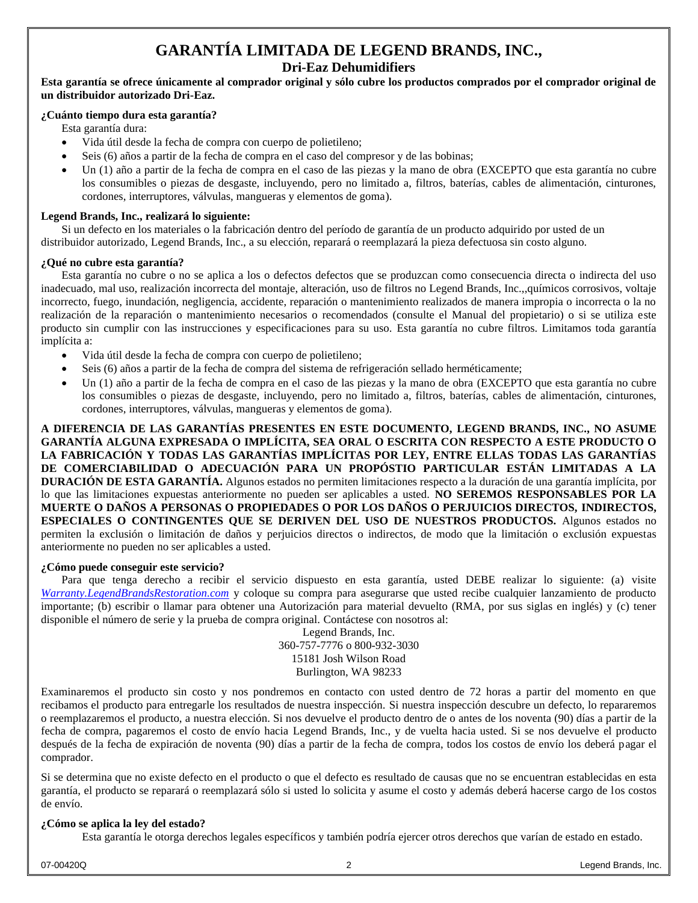# **GARANTÍA LIMITADA DE LEGEND BRANDS, INC.,**

**Dri-Eaz Dehumidifiers**

**Esta garantía se ofrece únicamente al comprador original y sólo cubre los productos comprados por el comprador original de un distribuidor autorizado Dri-Eaz.**

#### **¿Cuánto tiempo dura esta garantía?**

- Esta garantía dura:
- Vida útil desde la fecha de compra con cuerpo de polietileno;
- Seis (6) años a partir de la fecha de compra en el caso del compresor y de las bobinas;
- Un (1) año a partir de la fecha de compra en el caso de las piezas y la mano de obra (EXCEPTO que esta garantía no cubre los consumibles o piezas de desgaste, incluyendo, pero no limitado a, filtros, baterías, cables de alimentación, cinturones, cordones, interruptores, válvulas, mangueras y elementos de goma).

#### **Legend Brands, Inc., realizará lo siguiente:**

Si un defecto en los materiales o la fabricación dentro del período de garantía de un producto adquirido por usted de un distribuidor autorizado, Legend Brands, Inc., a su elección, reparará o reemplazará la pieza defectuosa sin costo alguno.

#### **¿Qué no cubre esta garantía?**

Esta garantía no cubre o no se aplica a los o defectos defectos que se produzcan como consecuencia directa o indirecta del uso inadecuado, mal uso, realización incorrecta del montaje, alteración, uso de filtros no Legend Brands, Inc.,,químicos corrosivos, voltaje incorrecto, fuego, inundación, negligencia, accidente, reparación o mantenimiento realizados de manera impropia o incorrecta o la no realización de la reparación o mantenimiento necesarios o recomendados (consulte el Manual del propietario) o si se utiliza este producto sin cumplir con las instrucciones y especificaciones para su uso. Esta garantía no cubre filtros. Limitamos toda garantía implícita a:

- Vida útil desde la fecha de compra con cuerpo de polietileno;
- Seis (6) años a partir de la fecha de compra del sistema de refrigeración sellado herméticamente;
- Un (1) año a partir de la fecha de compra en el caso de las piezas y la mano de obra (EXCEPTO que esta garantía no cubre los consumibles o piezas de desgaste, incluyendo, pero no limitado a, filtros, baterías, cables de alimentación, cinturones, cordones, interruptores, válvulas, mangueras y elementos de goma).

**A DIFERENCIA DE LAS GARANTÍAS PRESENTES EN ESTE DOCUMENTO, LEGEND BRANDS, INC., NO ASUME GARANTÍA ALGUNA EXPRESADA O IMPLÍCITA, SEA ORAL O ESCRITA CON RESPECTO A ESTE PRODUCTO O LA FABRICACIÓN Y TODAS LAS GARANTÍAS IMPLÍCITAS POR LEY, ENTRE ELLAS TODAS LAS GARANTÍAS DE COMERCIABILIDAD O ADECUACIÓN PARA UN PROPÓSTIO PARTICULAR ESTÁN LIMITADAS A LA DURACIÓN DE ESTA GARANTÍA.** Algunos estados no permiten limitaciones respecto a la duración de una garantía implícita, por lo que las limitaciones expuestas anteriormente no pueden ser aplicables a usted. **NO SEREMOS RESPONSABLES POR LA MUERTE O DAÑOS A PERSONAS O PROPIEDADES O POR LOS DAÑOS O PERJUICIOS DIRECTOS, INDIRECTOS, ESPECIALES O CONTINGENTES QUE SE DERIVEN DEL USO DE NUESTROS PRODUCTOS.** Algunos estados no permiten la exclusión o limitación de daños y perjuicios directos o indirectos, de modo que la limitación o exclusión expuestas anteriormente no pueden no ser aplicables a usted.

#### **¿Cómo puede conseguir este servicio?**

Para que tenga derecho a recibir el servicio dispuesto en esta garantía, usted DEBE realizar lo siguiente: (a) visite *[Warranty.LegendBrandsRestoration.com](https://www.legendbrandsrestoration.com/Warranty)* y coloque su compra para asegurarse que usted recibe cualquier lanzamiento de producto importante; (b) escribir o llamar para obtener una Autorización para material devuelto (RMA, por sus siglas en inglés) y (c) tener disponible el número de serie y la prueba de compra original. Contáctese con nosotros al:

Legend Brands, Inc. 360-757-7776 o 800-932-3030 15181 Josh Wilson Road Burlington, WA 98233

Examinaremos el producto sin costo y nos pondremos en contacto con usted dentro de 72 horas a partir del momento en que recibamos el producto para entregarle los resultados de nuestra inspección. Si nuestra inspección descubre un defecto, lo repararemos o reemplazaremos el producto, a nuestra elección. Si nos devuelve el producto dentro de o antes de los noventa (90) días a partir de la fecha de compra, pagaremos el costo de envío hacia Legend Brands, Inc., y de vuelta hacia usted. Si se nos devuelve el producto después de la fecha de expiración de noventa (90) días a partir de la fecha de compra, todos los costos de envío los deberá pagar el comprador.

Si se determina que no existe defecto en el producto o que el defecto es resultado de causas que no se encuentran establecidas en esta garantía, el producto se reparará o reemplazará sólo si usted lo solicita y asume el costo y además deberá hacerse cargo de los costos de envío.

#### **¿Cómo se aplica la ley del estado?**

Esta garantía le otorga derechos legales específicos y también podría ejercer otros derechos que varían de estado en estado.